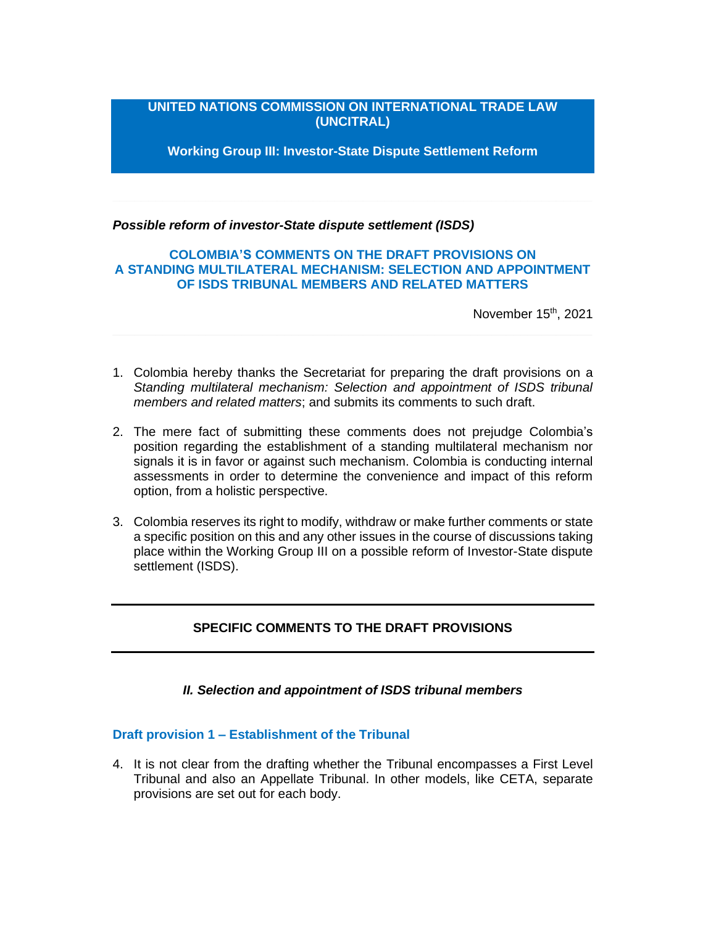# **UNITED NATIONS COMMISSION ON INTERNATIONAL TRADE LAW (UNCITRAL)**

**Working Group III: Investor-State Dispute Settlement Reform**

*Possible reform of investor-State dispute settlement (ISDS)*

## **COLOMBIA'S COMMENTS ON THE DRAFT PROVISIONS ON A STANDING MULTILATERAL MECHANISM: SELECTION AND APPOINTMENT OF ISDS TRIBUNAL MEMBERS AND RELATED MATTERS**

November 15<sup>th</sup>, 2021

- 1. Colombia hereby thanks the Secretariat for preparing the draft provisions on a *Standing multilateral mechanism: Selection and appointment of ISDS tribunal members and related matters*; and submits its comments to such draft.
- 2. The mere fact of submitting these comments does not prejudge Colombia's position regarding the establishment of a standing multilateral mechanism nor signals it is in favor or against such mechanism. Colombia is conducting internal assessments in order to determine the convenience and impact of this reform option, from a holistic perspective.
- 3. Colombia reserves its right to modify, withdraw or make further comments or state a specific position on this and any other issues in the course of discussions taking place within the Working Group III on a possible reform of Investor-State dispute settlement (ISDS).

## **SPECIFIC COMMENTS TO THE DRAFT PROVISIONS**

*II. Selection and appointment of ISDS tribunal members*

## **Draft provision 1 – Establishment of the Tribunal**

4. It is not clear from the drafting whether the Tribunal encompasses a First Level Tribunal and also an Appellate Tribunal. In other models, like CETA, separate provisions are set out for each body.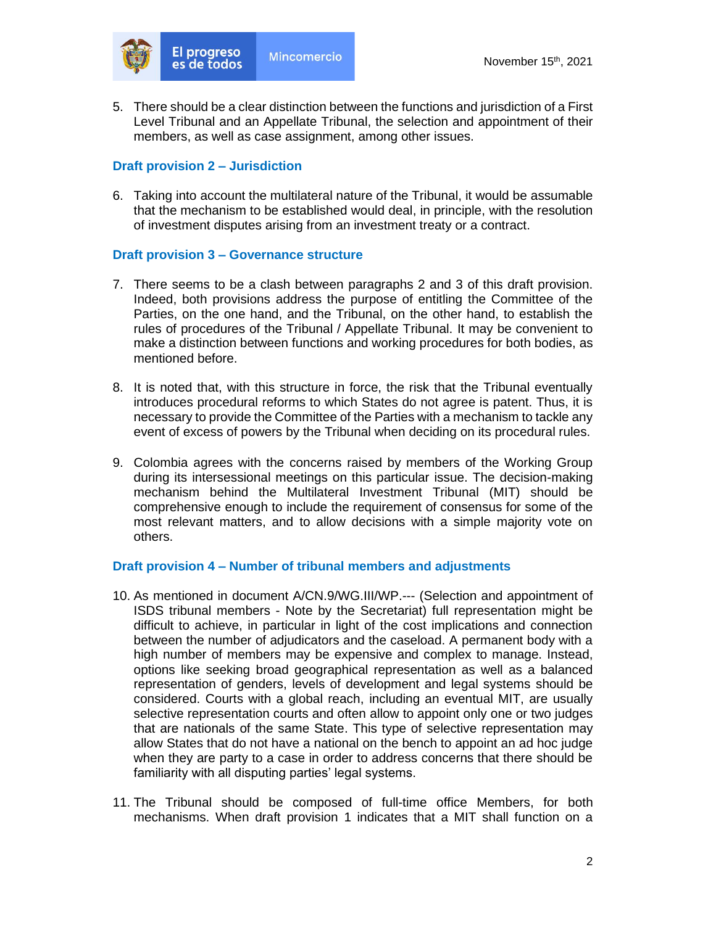

5. There should be a clear distinction between the functions and jurisdiction of a First Level Tribunal and an Appellate Tribunal, the selection and appointment of their members, as well as case assignment, among other issues.

### **Draft provision 2 – Jurisdiction**

6. Taking into account the multilateral nature of the Tribunal, it would be assumable that the mechanism to be established would deal, in principle, with the resolution of investment disputes arising from an investment treaty or a contract.

## **Draft provision 3 – Governance structure**

- 7. There seems to be a clash between paragraphs 2 and 3 of this draft provision. Indeed, both provisions address the purpose of entitling the Committee of the Parties, on the one hand, and the Tribunal, on the other hand, to establish the rules of procedures of the Tribunal / Appellate Tribunal. It may be convenient to make a distinction between functions and working procedures for both bodies, as mentioned before.
- 8. It is noted that, with this structure in force, the risk that the Tribunal eventually introduces procedural reforms to which States do not agree is patent. Thus, it is necessary to provide the Committee of the Parties with a mechanism to tackle any event of excess of powers by the Tribunal when deciding on its procedural rules.
- 9. Colombia agrees with the concerns raised by members of the Working Group during its intersessional meetings on this particular issue. The decision-making mechanism behind the Multilateral Investment Tribunal (MIT) should be comprehensive enough to include the requirement of consensus for some of the most relevant matters, and to allow decisions with a simple majority vote on others.

#### **Draft provision 4 – Number of tribunal members and adjustments**

- 10. As mentioned in document A/CN.9/WG.III/WP.--- (Selection and appointment of ISDS tribunal members - Note by the Secretariat) full representation might be difficult to achieve, in particular in light of the cost implications and connection between the number of adjudicators and the caseload. A permanent body with a high number of members may be expensive and complex to manage. Instead, options like seeking broad geographical representation as well as a balanced representation of genders, levels of development and legal systems should be considered. Courts with a global reach, including an eventual MIT, are usually selective representation courts and often allow to appoint only one or two judges that are nationals of the same State. This type of selective representation may allow States that do not have a national on the bench to appoint an ad hoc judge when they are party to a case in order to address concerns that there should be familiarity with all disputing parties' legal systems.
- 11. The Tribunal should be composed of full-time office Members, for both mechanisms. When draft provision 1 indicates that a MIT shall function on a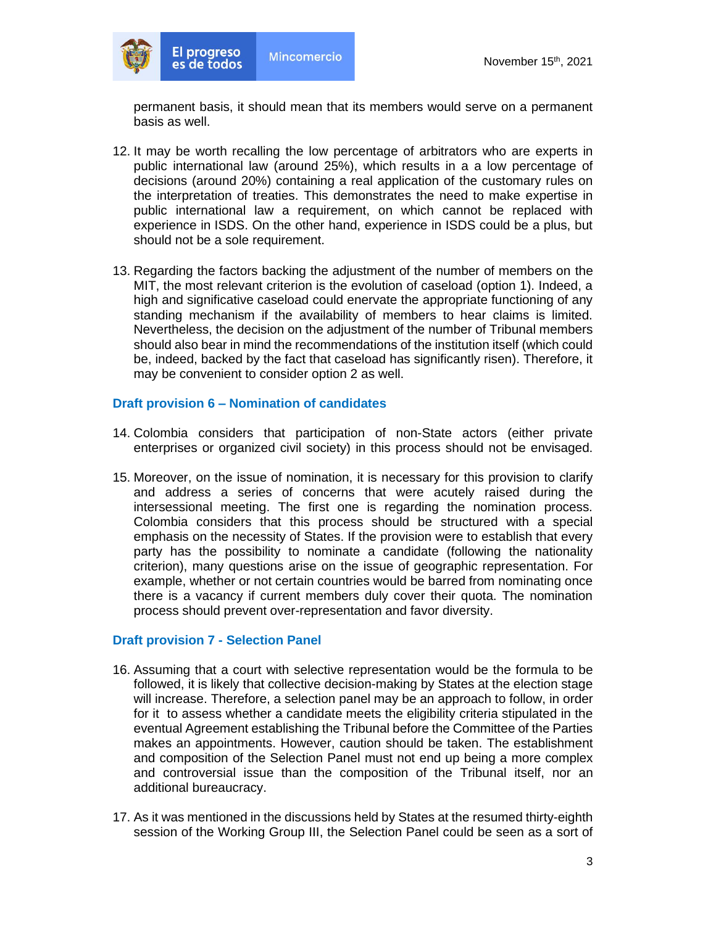

permanent basis, it should mean that its members would serve on a permanent basis as well.

- 12. It may be worth recalling the low percentage of arbitrators who are experts in public international law (around 25%), which results in a a low percentage of decisions (around 20%) containing a real application of the customary rules on the interpretation of treaties. This demonstrates the need to make expertise in public international law a requirement, on which cannot be replaced with experience in ISDS. On the other hand, experience in ISDS could be a plus, but should not be a sole requirement.
- 13. Regarding the factors backing the adjustment of the number of members on the MIT, the most relevant criterion is the evolution of caseload (option 1). Indeed, a high and significative caseload could enervate the appropriate functioning of any standing mechanism if the availability of members to hear claims is limited. Nevertheless, the decision on the adjustment of the number of Tribunal members should also bear in mind the recommendations of the institution itself (which could be, indeed, backed by the fact that caseload has significantly risen). Therefore, it may be convenient to consider option 2 as well.

#### **Draft provision 6 – Nomination of candidates**

- 14. Colombia considers that participation of non-State actors (either private enterprises or organized civil society) in this process should not be envisaged.
- 15. Moreover, on the issue of nomination, it is necessary for this provision to clarify and address a series of concerns that were acutely raised during the intersessional meeting. The first one is regarding the nomination process. Colombia considers that this process should be structured with a special emphasis on the necessity of States. If the provision were to establish that every party has the possibility to nominate a candidate (following the nationality criterion), many questions arise on the issue of geographic representation. For example, whether or not certain countries would be barred from nominating once there is a vacancy if current members duly cover their quota. The nomination process should prevent over-representation and favor diversity.

#### **Draft provision 7 - Selection Panel**

- 16. Assuming that a court with selective representation would be the formula to be followed, it is likely that collective decision-making by States at the election stage will increase. Therefore, a selection panel may be an approach to follow, in order for it to assess whether a candidate meets the eligibility criteria stipulated in the eventual Agreement establishing the Tribunal before the Committee of the Parties makes an appointments. However, caution should be taken. The establishment and composition of the Selection Panel must not end up being a more complex and controversial issue than the composition of the Tribunal itself, nor an additional bureaucracy.
- 17. As it was mentioned in the discussions held by States at the resumed thirty-eighth session of the Working Group III, the Selection Panel could be seen as a sort of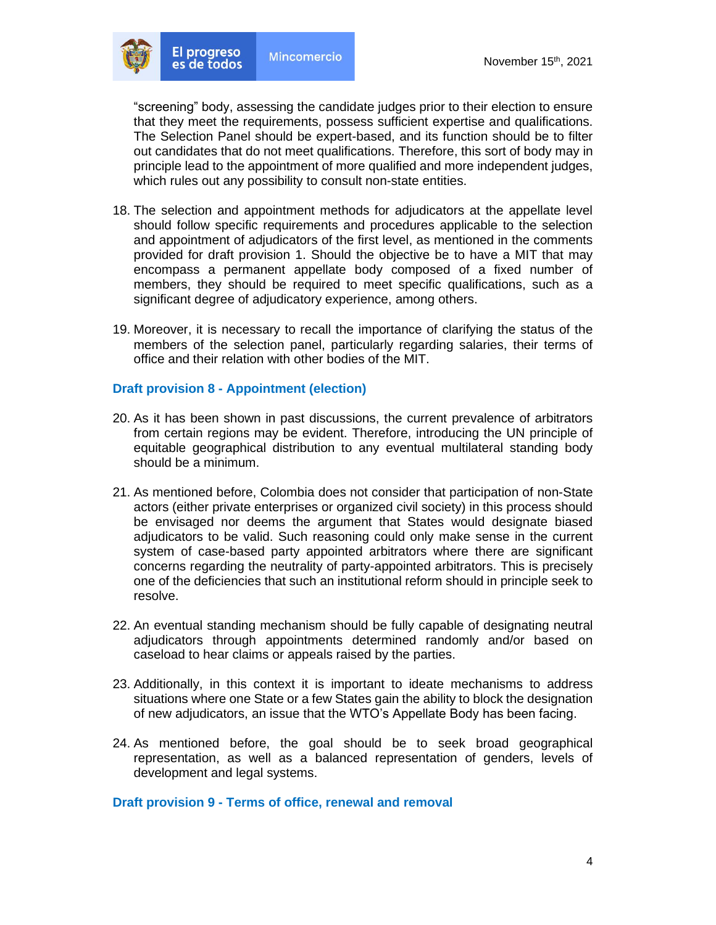

"screening" body, assessing the candidate judges prior to their election to ensure that they meet the requirements, possess sufficient expertise and qualifications. The Selection Panel should be expert-based, and its function should be to filter out candidates that do not meet qualifications. Therefore, this sort of body may in principle lead to the appointment of more qualified and more independent judges, which rules out any possibility to consult non-state entities.

- 18. The selection and appointment methods for adjudicators at the appellate level should follow specific requirements and procedures applicable to the selection and appointment of adjudicators of the first level, as mentioned in the comments provided for draft provision 1. Should the objective be to have a MIT that may encompass a permanent appellate body composed of a fixed number of members, they should be required to meet specific qualifications, such as a significant degree of adjudicatory experience, among others.
- 19. Moreover, it is necessary to recall the importance of clarifying the status of the members of the selection panel, particularly regarding salaries, their terms of office and their relation with other bodies of the MIT.

#### **Draft provision 8 - Appointment (election)**

- 20. As it has been shown in past discussions, the current prevalence of arbitrators from certain regions may be evident. Therefore, introducing the UN principle of equitable geographical distribution to any eventual multilateral standing body should be a minimum.
- 21. As mentioned before, Colombia does not consider that participation of non-State actors (either private enterprises or organized civil society) in this process should be envisaged nor deems the argument that States would designate biased adjudicators to be valid. Such reasoning could only make sense in the current system of case-based party appointed arbitrators where there are significant concerns regarding the neutrality of party-appointed arbitrators. This is precisely one of the deficiencies that such an institutional reform should in principle seek to resolve.
- 22. An eventual standing mechanism should be fully capable of designating neutral adjudicators through appointments determined randomly and/or based on caseload to hear claims or appeals raised by the parties.
- 23. Additionally, in this context it is important to ideate mechanisms to address situations where one State or a few States gain the ability to block the designation of new adjudicators, an issue that the WTO's Appellate Body has been facing.
- 24. As mentioned before, the goal should be to seek broad geographical representation, as well as a balanced representation of genders, levels of development and legal systems.

#### **Draft provision 9 - Terms of office, renewal and removal**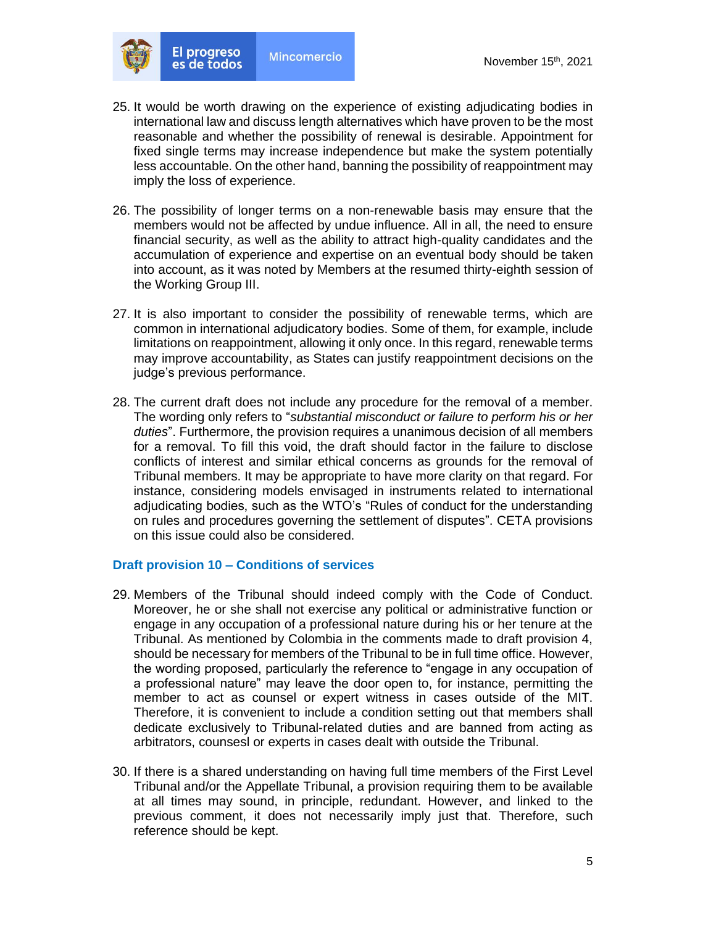

- 25. It would be worth drawing on the experience of existing adjudicating bodies in international law and discuss length alternatives which have proven to be the most reasonable and whether the possibility of renewal is desirable. Appointment for fixed single terms may increase independence but make the system potentially less accountable. On the other hand, banning the possibility of reappointment may imply the loss of experience.
- 26. The possibility of longer terms on a non-renewable basis may ensure that the members would not be affected by undue influence. All in all, the need to ensure financial security, as well as the ability to attract high-quality candidates and the accumulation of experience and expertise on an eventual body should be taken into account, as it was noted by Members at the resumed thirty-eighth session of the Working Group III.
- 27. It is also important to consider the possibility of renewable terms, which are common in international adjudicatory bodies. Some of them, for example, include limitations on reappointment, allowing it only once. In this regard, renewable terms may improve accountability, as States can justify reappointment decisions on the judge's previous performance.
- 28. The current draft does not include any procedure for the removal of a member. The wording only refers to "*substantial misconduct or failure to perform his or her duties*". Furthermore, the provision requires a unanimous decision of all members for a removal. To fill this void, the draft should factor in the failure to disclose conflicts of interest and similar ethical concerns as grounds for the removal of Tribunal members. It may be appropriate to have more clarity on that regard. For instance, considering models envisaged in instruments related to international adjudicating bodies, such as the WTO's "Rules of conduct for the understanding on rules and procedures governing the settlement of disputes". CETA provisions on this issue could also be considered.

#### **Draft provision 10 – Conditions of services**

- 29. Members of the Tribunal should indeed comply with the Code of Conduct. Moreover, he or she shall not exercise any political or administrative function or engage in any occupation of a professional nature during his or her tenure at the Tribunal. As mentioned by Colombia in the comments made to draft provision 4, should be necessary for members of the Tribunal to be in full time office. However, the wording proposed, particularly the reference to "engage in any occupation of a professional nature" may leave the door open to, for instance, permitting the member to act as counsel or expert witness in cases outside of the MIT. Therefore, it is convenient to include a condition setting out that members shall dedicate exclusively to Tribunal-related duties and are banned from acting as arbitrators, counsesl or experts in cases dealt with outside the Tribunal.
- 30. If there is a shared understanding on having full time members of the First Level Tribunal and/or the Appellate Tribunal, a provision requiring them to be available at all times may sound, in principle, redundant. However, and linked to the previous comment, it does not necessarily imply just that. Therefore, such reference should be kept.